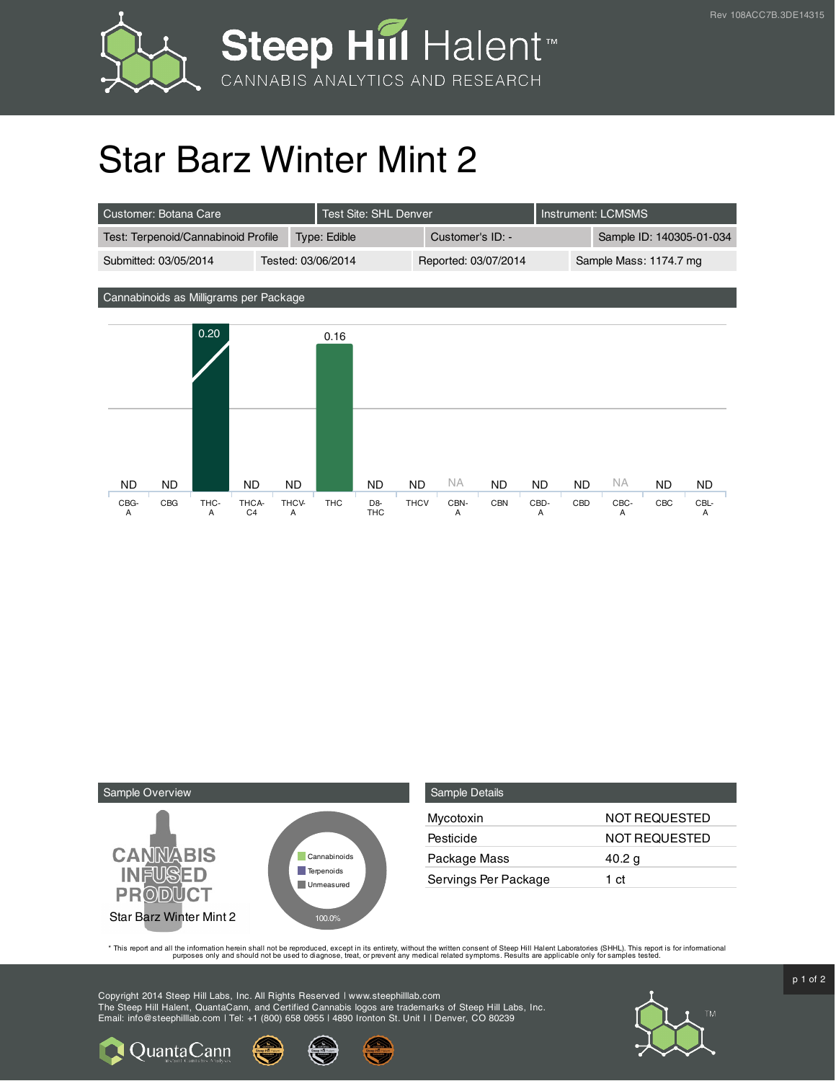

## Star Barz Winter Mint 2

| LCustomer: Botana Care '            |  | Test Site: SHL Denver |                  |                      | Instrument: LCMSMS |                          |                        |
|-------------------------------------|--|-----------------------|------------------|----------------------|--------------------|--------------------------|------------------------|
| Test: Terpenoid/Cannabinoid Profile |  | Type: Edible          | Customer's ID: - |                      |                    | Sample ID: 140305-01-034 |                        |
| Submitted: 03/05/2014               |  | Tested: 03/06/2014    |                  | Reported: 03/07/2014 |                    |                          | Sample Mass: 1174.7 mg |

Cannabinoids as Milligrams per Package





QuantaCann

| <b>Sample Details</b> |                      |
|-----------------------|----------------------|
| Mycotoxin             | <b>NOT REQUESTED</b> |
| Pesticide             | <b>NOT REQUESTED</b> |
| Package Mass          | 40.2 g               |
| Servings Per Package  | 1 ct                 |

This report and all the information herein shall not be reporduced, except in its entirety, without the written consent of Steep Hill Halent Laboratories (SHHL). This report is for informational all the instance, treat, or

Copyright 2014 Steep Hill Labs, Inc. All Rights Reserved | www.steephilllab.com The Steep Hill Halent, QuantaCann, and Certified Cannabis logos are trademarks of Steep Hill Labs, Inc. Email: info@steephilllab.com | Tel: +1 (800) 658 0955 | 4890 Ironton St. Unit I | Denver, CO 80239